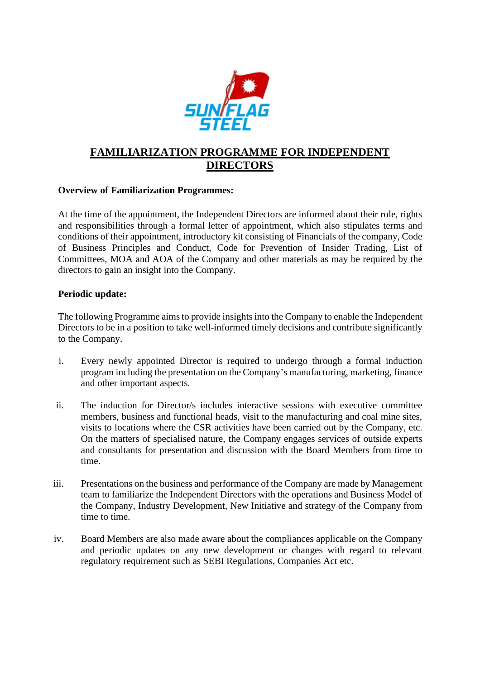

## **FAMILIARIZATION PROGRAMME FOR INDEPENDENT DIRECTORS**

## **Overview of Familiarization Programmes:**

At the time of the appointment, the Independent Directors are informed about their role, rights and responsibilities through a formal letter of appointment, which also stipulates terms and conditions of their appointment, introductory kit consisting of Financials of the company, Code of Business Principles and Conduct, Code for Prevention of Insider Trading, List of Committees, MOA and AOA of the Company and other materials as may be required by the directors to gain an insight into the Company.

## **Periodic update:**

The following Programme aims to provide insights into the Company to enable the Independent Directors to be in a position to take well-informed timely decisions and contribute significantly to the Company.

- i. Every newly appointed Director is required to undergo through a formal induction program including the presentation on the Company's manufacturing, marketing, finance and other important aspects.
- ii. The induction for Director/s includes interactive sessions with executive committee members, business and functional heads, visit to the manufacturing and coal mine sites, visits to locations where the CSR activities have been carried out by the Company, etc. On the matters of specialised nature, the Company engages services of outside experts and consultants for presentation and discussion with the Board Members from time to time.
- iii. Presentations on the business and performance of the Company are made by Management team to familiarize the Independent Directors with the operations and Business Model of the Company, Industry Development, New Initiative and strategy of the Company from time to time.
- iv. Board Members are also made aware about the compliances applicable on the Company and periodic updates on any new development or changes with regard to relevant regulatory requirement such as SEBI Regulations, Companies Act etc.